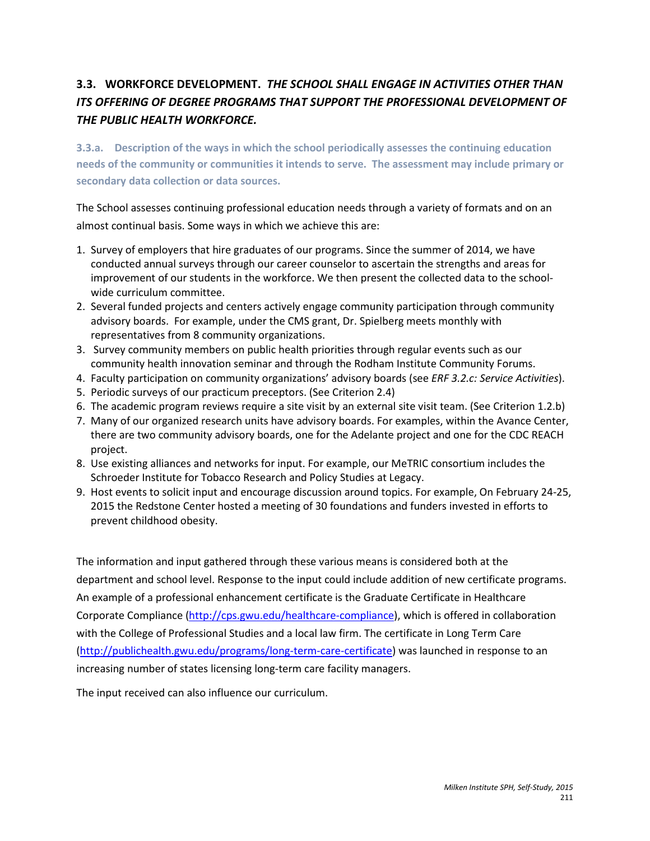# **3.3. WORKFORCE DEVELOPMENT.** *THE SCHOOL SHALL ENGAGE IN ACTIVITIES OTHER THAN ITS OFFERING OF DEGREE PROGRAMS THAT SUPPORT THE PROFESSIONAL DEVELOPMENT OF THE PUBLIC HEALTH WORKFORCE.*

**3.3.a. Description of the ways in which the school periodically assesses the continuing education needs of the community or communities it intends to serve. The assessment may include primary or secondary data collection or data sources.**

The School assesses continuing professional education needs through a variety of formats and on an almost continual basis. Some ways in which we achieve this are:

- 1. Survey of employers that hire graduates of our programs. Since the summer of 2014, we have conducted annual surveys through our career counselor to ascertain the strengths and areas for improvement of our students in the workforce. We then present the collected data to the schoolwide curriculum committee.
- 2. Several funded projects and centers actively engage community participation through community advisory boards. For example, under the CMS grant, Dr. Spielberg meets monthly with representatives from 8 community organizations.
- 3. Survey community members on public health priorities through regular events such as our community health innovation seminar and through the Rodham Institute Community Forums.
- 4. Faculty participation on community organizations' advisory boards (see *ERF 3.2.c: Service Activities*).
- 5. Periodic surveys of our practicum preceptors. (See Criterion 2.4)
- 6. The academic program reviews require a site visit by an external site visit team. (See Criterion 1.2.b)
- 7. Many of our organized research units have advisory boards. For examples, within the Avance Center, there are two community advisory boards, one for the Adelante project and one for the CDC REACH project.
- 8. Use existing alliances and networks for input. For example, our MeTRIC consortium includes the Schroeder Institute for Tobacco Research and Policy Studies at Legacy.
- 9. Host events to solicit input and encourage discussion around topics. For example, On February 24-25, 2015 the Redstone Center hosted a meeting of 30 foundations and funders invested in efforts to prevent childhood obesity.

The information and input gathered through these various means is considered both at the department and school level. Response to the input could include addition of new certificate programs. An example of a professional enhancement certificate is the Graduate Certificate in Healthcare Corporate Compliance [\(http://cps.gwu.edu/healthcare-compliance\)](http://cps.gwu.edu/healthcare-compliance), which is offered in collaboration with the College of Professional Studies and a local law firm. The certificate in Long Term Care [\(http://publichealth.gwu.edu/programs/long-term-care-certificate\)](http://publichealth.gwu.edu/programs/long-term-care-certificate) was launched in response to an increasing number of states licensing long-term care facility managers.

The input received can also influence our curriculum.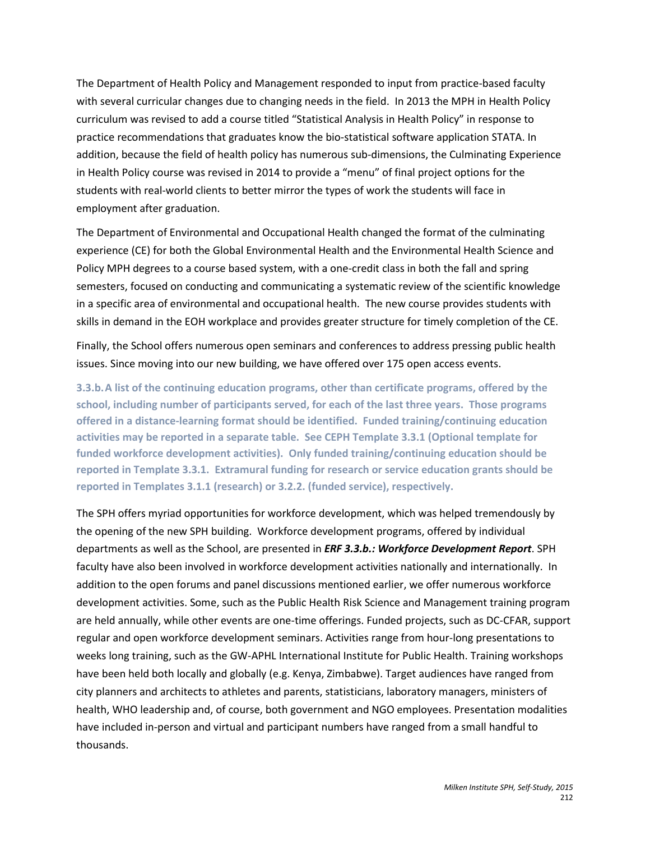The Department of Health Policy and Management responded to input from practice-based faculty with several curricular changes due to changing needs in the field. In 2013 the MPH in Health Policy curriculum was revised to add a course titled "Statistical Analysis in Health Policy" in response to practice recommendations that graduates know the bio-statistical software application STATA. In addition, because the field of health policy has numerous sub-dimensions, the Culminating Experience in Health Policy course was revised in 2014 to provide a "menu" of final project options for the students with real-world clients to better mirror the types of work the students will face in employment after graduation.

The Department of Environmental and Occupational Health changed the format of the culminating experience (CE) for both the Global Environmental Health and the Environmental Health Science and Policy MPH degrees to a course based system, with a one-credit class in both the fall and spring semesters, focused on conducting and communicating a systematic review of the scientific knowledge in a specific area of environmental and occupational health. The new course provides students with skills in demand in the EOH workplace and provides greater structure for timely completion of the CE.

Finally, the School offers numerous open seminars and conferences to address pressing public health issues. Since moving into our new building, we have offered over 175 open access events.

**3.3.b.A list of the continuing education programs, other than certificate programs, offered by the school, including number of participants served, for each of the last three years. Those programs offered in a distance-learning format should be identified. Funded training/continuing education activities may be reported in a separate table. See CEPH Template 3.3.1 (Optional template for funded workforce development activities). Only funded training/continuing education should be reported in Template 3.3.1. Extramural funding for research or service education grants should be reported in Templates 3.1.1 (research) or 3.2.2. (funded service), respectively.**

The SPH offers myriad opportunities for workforce development, which was helped tremendously by the opening of the new SPH building. Workforce development programs, offered by individual departments as well as the School, are presented in *ERF 3.3.b.: Workforce Development Report*. SPH faculty have also been involved in workforce development activities nationally and internationally. In addition to the open forums and panel discussions mentioned earlier, we offer numerous workforce development activities. Some, such as the Public Health Risk Science and Management training program are held annually, while other events are one-time offerings. Funded projects, such as DC-CFAR, support regular and open workforce development seminars. Activities range from hour-long presentations to weeks long training, such as the GW-APHL International Institute for Public Health. Training workshops have been held both locally and globally (e.g. Kenya, Zimbabwe). Target audiences have ranged from city planners and architects to athletes and parents, statisticians, laboratory managers, ministers of health, WHO leadership and, of course, both government and NGO employees. Presentation modalities have included in-person and virtual and participant numbers have ranged from a small handful to thousands.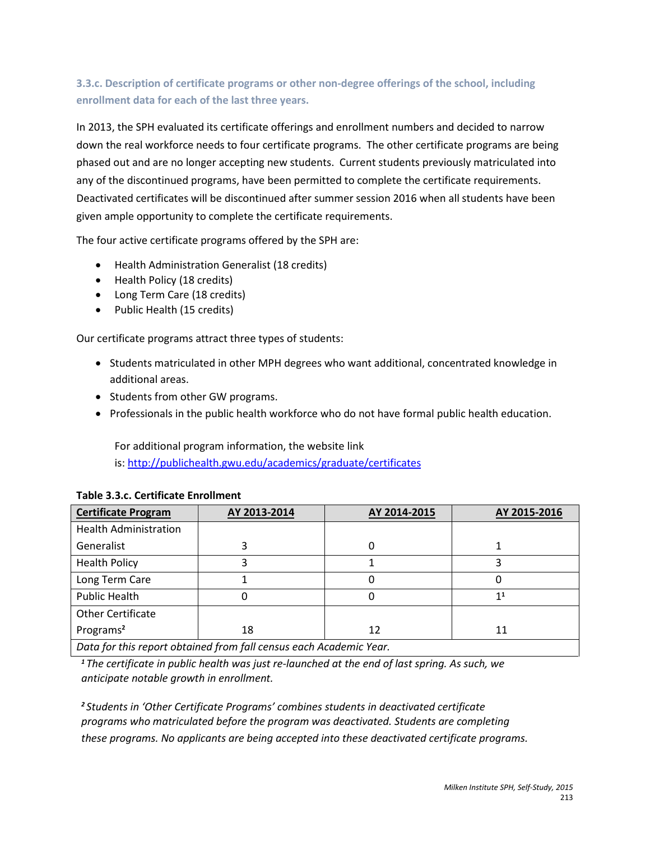# **3.3.c. Description of certificate programs or other non-degree offerings of the school, including enrollment data for each of the last three years.**

In 2013, the SPH evaluated its certificate offerings and enrollment numbers and decided to narrow down the real workforce needs to four certificate programs. The other certificate programs are being phased out and are no longer accepting new students. Current students previously matriculated into any of the discontinued programs, have been permitted to complete the certificate requirements. Deactivated certificates will be discontinued after summer session 2016 when all students have been given ample opportunity to complete the certificate requirements.

The four active certificate programs offered by the SPH are:

- Health [Administration](http://publichealth.gwu.edu/programs/health-administration-generalist-certificate) Generalist (18 credits)
- [Health](http://publichealth.gwu.edu/programs/health-policy-certificate) Policy (18 credits)
- Long [Term](http://publichealth.gwu.edu/programs/long-term-care-certificate) Care (18 credits)
- Public [Health](http://publichealth.gwu.edu/programs/public-health-generalist-certificate) (15 credits)

Our certificate programs attract three types of students:

- Students matriculated in other MPH degrees who want additional, concentrated knowledge in additional areas.
- Students from other GW programs.
- Professionals in the public health workforce who do not have formal public health education.

For additional program information, the website link

is:<http://publichealth.gwu.edu/academics/graduate/certificates>

| <b>Certificate Program</b>                                        | AY 2013-2014 | AY 2014-2015 | AY 2015-2016   |
|-------------------------------------------------------------------|--------------|--------------|----------------|
| <b>Health Administration</b>                                      |              |              |                |
| Generalist                                                        |              |              |                |
| <b>Health Policy</b>                                              |              |              |                |
| Long Term Care                                                    |              |              |                |
| Public Health                                                     |              | 0            | 1 <sup>1</sup> |
| <b>Other Certificate</b>                                          |              |              |                |
| Programs <sup>2</sup>                                             | 18           | 12           | 11             |
| .<br>----<br>$\sim$ $\sim$<br>$\cdots$<br>$\cdot$ $\cdot$ $\cdot$ |              |              |                |

### **Table 3.3.c. Certificate Enrollment**

*Data for this report obtained from fall census each Academic Year.*

*<sup>1</sup>The certificate in public health was just re-launched at the end of last spring. As such, we anticipate notable growth in enrollment.* 

*<sup>2</sup>Students in 'Other Certificate Programs' combines students in deactivated certificate programs who matriculated before the program was deactivated. Students are completing these programs. No applicants are being accepted into these deactivated certificate programs.*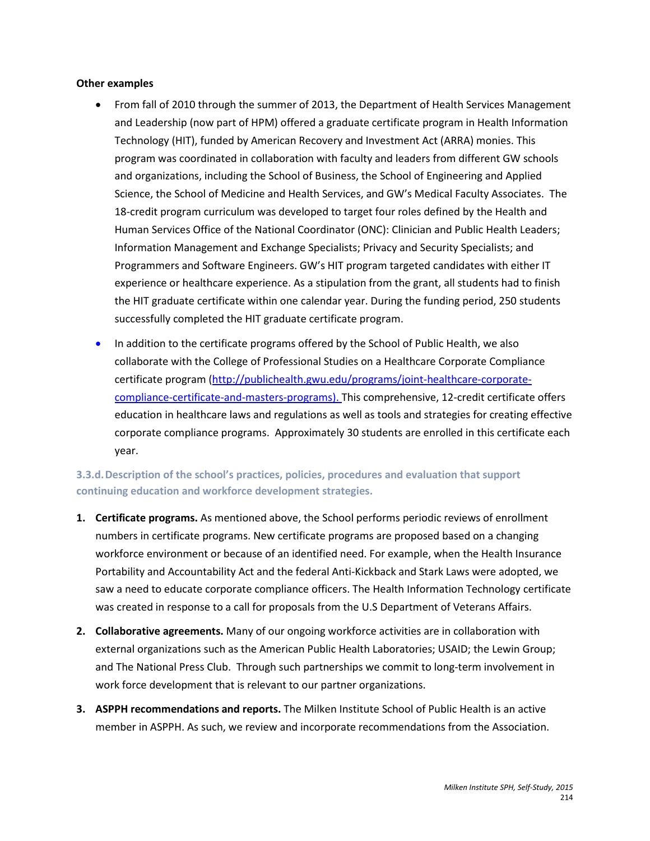#### **Other examples**

- From fall of 2010 through the summer of 2013, the Department of Health Services Management and Leadership (now part of HPM) offered a graduate certificate program in Health Information Technology (HIT), funded by American Recovery and Investment Act (ARRA) monies. This program was coordinated in collaboration with faculty and leaders from different GW schools and organizations, including the School of Business, the School of Engineering and Applied Science, the School of Medicine and Health Services, and GW's Medical Faculty Associates. The 18-credit program curriculum was developed to target four roles defined by the Health and Human Services Office of the National Coordinator (ONC): Clinician and Public Health Leaders; Information Management and Exchange Specialists; Privacy and Security Specialists; and Programmers and Software Engineers. GW's HIT program targeted candidates with either IT experience or healthcare experience. As a stipulation from the grant, all students had to finish the HIT graduate certificate within one calendar year. During the funding period, 250 students successfully completed the HIT graduate certificate program.
- In addition to the certificate programs offered by the School of Public Health, we also collaborate with the College of Professional Studies on a Healthcare Corporate Compliance certificate program [\(http://publichealth.gwu.edu/programs/joint-healthcare-corporate](http://publichealth.gwu.edu/programs/joint-healthcare-corporate-compliance-certificate-and-masters-programs)[compliance-certificate-and-masters-programs\)](http://publichealth.gwu.edu/programs/joint-healthcare-corporate-compliance-certificate-and-masters-programs). This comprehensive, 12-credit certificate offers education in healthcare laws and regulations as well as tools and strategies for creating effective corporate compliance programs. Approximately 30 students are enrolled in this certificate each year.

### **3.3.d.Description of the school's practices, policies, procedures and evaluation that support continuing education and workforce development strategies.**

- **1. Certificate programs.** As mentioned above, the School performs periodic reviews of enrollment numbers in certificate programs. New certificate programs are proposed based on a changing workforce environment or because of an identified need. For example, when the Health Insurance Portability and Accountability Act and the federal Anti-Kickback and Stark Laws were adopted, we saw a need to educate corporate compliance officers. The Health Information Technology certificate was created in response to a call for proposals from the U.S Department of Veterans Affairs.
- **2. Collaborative agreements.** Many of our ongoing workforce activities are in collaboration with external organizations such as the American Public Health Laboratories; USAID; the Lewin Group; and The National Press Club. Through such partnerships we commit to long-term involvement in work force development that is relevant to our partner organizations.
- **3. ASPPH recommendations and reports.** The Milken Institute School of Public Health is an active member in ASPPH. As such, we review and incorporate recommendations from the Association.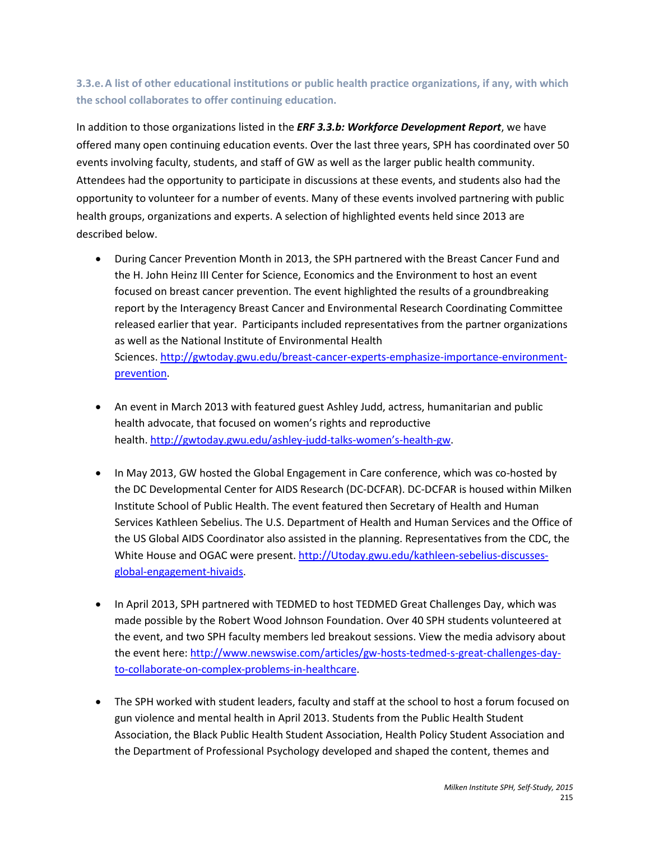# **3.3.e.A list of other educational institutions or public health practice organizations, if any, with which the school collaborates to offer continuing education.**

In addition to those organizations listed in the *ERF 3.3.b: Workforce Development Report*, we have offered many open continuing education events. Over the last three years, SPH has coordinated over 50 events involving faculty, students, and staff of GW as well as the larger public health community. Attendees had the opportunity to participate in discussions at these events, and students also had the opportunity to volunteer for a number of events. Many of these events involved partnering with public health groups, organizations and experts. A selection of highlighted events held since 2013 are described below.

- During Cancer Prevention Month in 2013, the SPH partnered with the Breast Cancer Fund and the H. John Heinz III Center for Science, Economics and the Environment to host an event focused on breast cancer prevention. The event highlighted the results of a groundbreaking report by the Interagency Breast Cancer and Environmental Research Coordinating Committee released earlier that year. Participants included representatives from the partner organizations as well as the National Institute of Environmental Health Sciences. [http://gwtoday.gwu.edu/breast-cancer-experts-emphasize-importance-environment](http://gwtoday.gwu.edu/breast-cancer-experts-emphasize-importance-environment-prevention)[prevention.](http://gwtoday.gwu.edu/breast-cancer-experts-emphasize-importance-environment-prevention)
- An event in March 2013 with featured guest Ashley Judd, actress, humanitarian and public health advocate, that focused on women's rights and reproductive health. [http://gwtoday.gwu.edu/ashley-judd-talks-women's-health-gw.](http://gwtoday.gwu.edu/ashley-judd-talks-women%E2%80%99s-health-gw)
- In May 2013, GW hosted the Global Engagement in Care conference, which was co-hosted by the DC Developmental Center for AIDS Research (DC-DCFAR). DC-DCFAR is housed within Milken Institute School of Public Health. The event featured then Secretary of Health and Human Services Kathleen Sebelius. The U.S. Department of Health and Human Services and the Office of the US Global AIDS Coordinator also assisted in the planning. Representatives from the CDC, the White House and OGAC were present. [http://Utoday.gwu.edu/kathleen-sebelius-discusses](http://gwtoday.gwu.edu/kathleen-sebelius-discusses-global-engagement-hivaids?utm_source=gwtodayemail&utm_medium=email&utm_campaign=gwtodayemail051313)[global-engagement-hivaids.](http://gwtoday.gwu.edu/kathleen-sebelius-discusses-global-engagement-hivaids?utm_source=gwtodayemail&utm_medium=email&utm_campaign=gwtodayemail051313)
- In April 2013, SPH partnered with TEDMED to host TEDMED Great Challenges Day, which was made possible by the Robert Wood Johnson Foundation. Over 40 SPH students volunteered at the event, and two SPH faculty members led breakout sessions. View the media advisory about the event here: [http://www.newswise.com/articles/gw-hosts-tedmed-s-great-challenges-day](http://www.newswise.com/articles/gw-hosts-tedmed-s-great-challenges-day-to-collaborate-on-complex-problems-in-healthcare)[to-collaborate-on-complex-problems-in-healthcare.](http://www.newswise.com/articles/gw-hosts-tedmed-s-great-challenges-day-to-collaborate-on-complex-problems-in-healthcare)
- The SPH worked with student leaders, faculty and staff at the school to host a forum focused on gun violence and mental health in April 2013. Students from the Public Health Student Association, the Black Public Health Student Association, Health Policy Student Association and the Department of Professional Psychology developed and shaped the content, themes and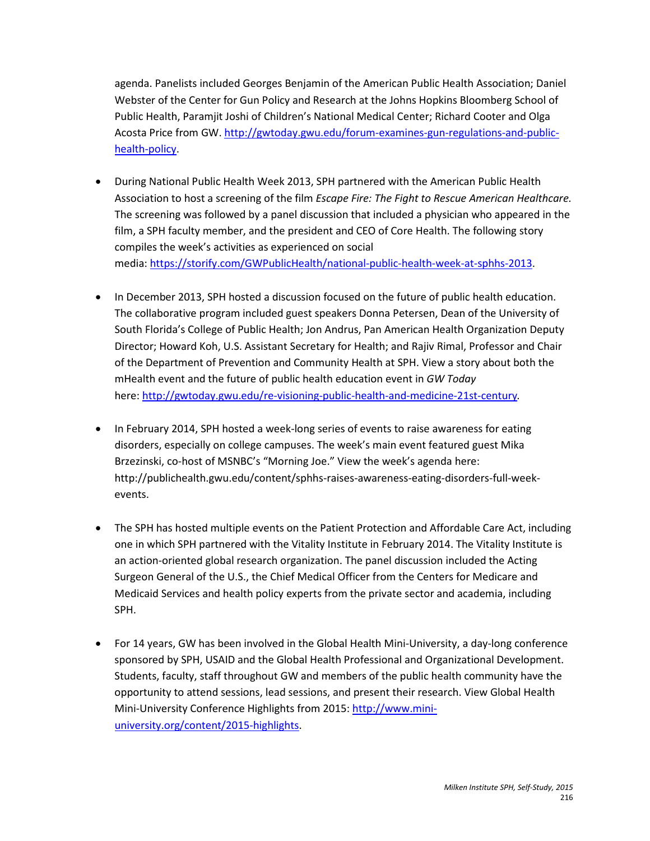agenda. Panelists included Georges Benjamin of the American Public Health Association; Daniel Webster of the Center for Gun Policy and Research at the Johns Hopkins Bloomberg School of Public Health, Paramjit Joshi of Children's National Medical Center; Richard Cooter and Olga Acosta Price from GW[. http://gwtoday.gwu.edu/forum-examines-gun-regulations-and-public](http://gwtoday.gwu.edu/forum-examines-gun-regulations-and-public-health-policy)[health-policy.](http://gwtoday.gwu.edu/forum-examines-gun-regulations-and-public-health-policy)

- During National Public Health Week 2013, SPH partnered with the American Public Health Association to host a screening of the film *Escape Fire: The Fight to Rescue American Healthcare.*  The screening was followed by a panel discussion that included a physician who appeared in the film, a SPH faculty member, and the president and CEO of Core Health. The following story compiles the week's activities as experienced on social media: [https://storify.com/GWPublicHealth/national-public-health-week-at-sphhs-2013.](https://storify.com/GWPublicHealth/national-public-health-week-at-sphhs-2013)
- In December 2013, SPH hosted a discussion focused on the future of public health education. The collaborative program included guest speakers Donna Petersen, Dean of the University of South Florida's College of Public Health; Jon Andrus, Pan American Health Organization Deputy Director; Howard Koh, U.S. Assistant Secretary for Health; and Rajiv Rimal, Professor and Chair of the Department of Prevention and Community Health at SPH. View a story about both the mHealth event and the future of public health education event in *GW Today* here: <http://gwtoday.gwu.edu/re-visioning-public-health-and-medicine-21st-century>*.*
- In February 2014, SPH hosted a week-long series of events to raise awareness for eating disorders, especially on college campuses. The week's main event featured guest Mika Brzezinski, co-host of MSNBC's "Morning Joe." View the week's agenda here: http://publichealth.gwu.edu/content/sphhs-raises-awareness-eating-disorders-full-weekevents.
- The SPH has hosted multiple events on the Patient Protection and Affordable Care Act, including one in which SPH partnered with the Vitality Institute in February 2014. The Vitality Institute is an action-oriented global research organization. The panel discussion included the Acting Surgeon General of the U.S., the Chief Medical Officer from the Centers for Medicare and Medicaid Services and health policy experts from the private sector and academia, including SPH.
- For 14 years, GW has been involved in the Global Health Mini-University, a day-long conference sponsored by SPH, USAID and the Global Health Professional and Organizational Development. Students, faculty, staff throughout GW and members of the public health community have the opportunity to attend sessions, lead sessions, and present their research. View Global Health Mini-University Conference Highlights from 2015: [http://www.mini](http://www.mini-university.org/content/2015-highlights)[university.org/content/2015-highlights.](http://www.mini-university.org/content/2015-highlights)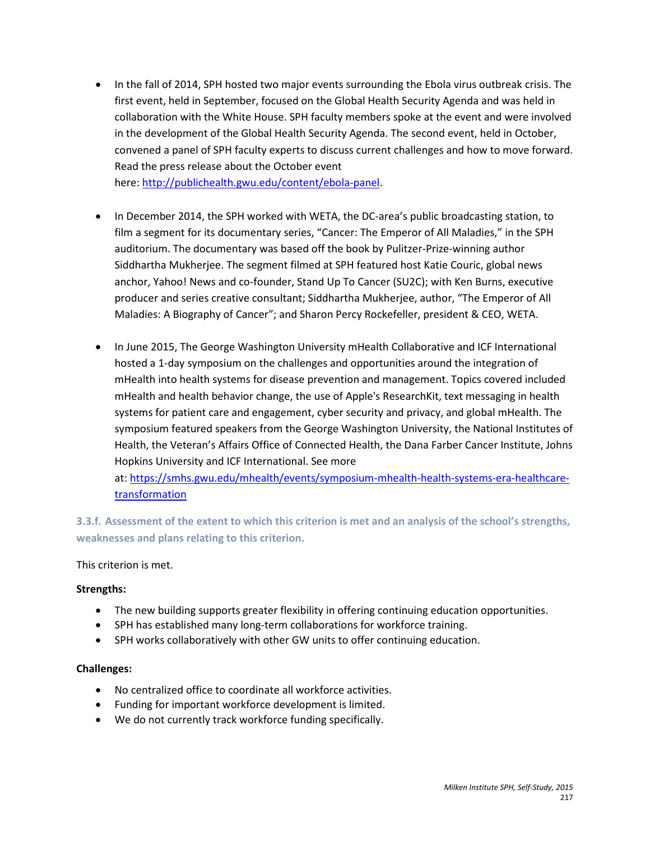• In the fall of 2014, SPH hosted two major events surrounding the Ebola virus outbreak crisis. The first event, held in September, focused on the Global Health Security Agenda and was held in collaboration with the White House. SPH faculty members spoke at the event and were involved in the development of the Global Health Security Agenda. The second event, held in October, convened a panel of SPH faculty experts to discuss current challenges and how to move forward. Read the press release about the October event here: [http://publichealth.gwu.edu/content/ebola-panel.](http://publichealth.gwu.edu/content/ebola-panel)

• In December 2014, the SPH worked with WETA, the DC-area's public broadcasting station, to film a segment for its documentary series, "Cancer: The Emperor of All Maladies," in the SPH auditorium. The documentary was based off the book by Pulitzer-Prize-winning author Siddhartha Mukherjee. The segment filmed at SPH featured host Katie Couric, global news anchor, Yahoo! News and co-founder, Stand Up To Cancer (SU2C); with Ken Burns, executive producer and series creative consultant; Siddhartha Mukherjee, author, "The Emperor of All Maladies: A Biography of Cancer"; and Sharon Percy Rockefeller, president & CEO, WETA.

• In June 2015, The George Washington University mHealth Collaborative and ICF International hosted a 1-day symposium on the challenges and opportunities around the integration of mHealth into health systems for disease prevention and management. Topics covered included mHealth and health behavior change, the use of Apple's ResearchKit, text messaging in health systems for patient care and engagement, cyber security and privacy, and global mHealth. The symposium featured speakers from the George Washington University, the National Institutes of Health, the Veteran's Affairs Office of Connected Health, the Dana Farber Cancer Institute, Johns Hopkins University and ICF International. See more

at: [https://smhs.gwu.edu/mhealth/events/symposium-mhealth-health-systems-era-healthcare](https://smhs.gwu.edu/mhealth/events/symposium-mhealth-health-systems-era-healthcare-transformation)[transformation](https://smhs.gwu.edu/mhealth/events/symposium-mhealth-health-systems-era-healthcare-transformation) 

**3.3.f. Assessment of the extent to which this criterion is met and an analysis of the school's strengths, weaknesses and plans relating to this criterion.**

This criterion is met.

### **Strengths:**

- The new building supports greater flexibility in offering continuing education opportunities.
- SPH has established many long-term collaborations for workforce training.
- SPH works collaboratively with other GW units to offer continuing education.

### **Challenges:**

- No centralized office to coordinate all workforce activities.
- Funding for important workforce development is limited.
- We do not currently track workforce funding specifically.